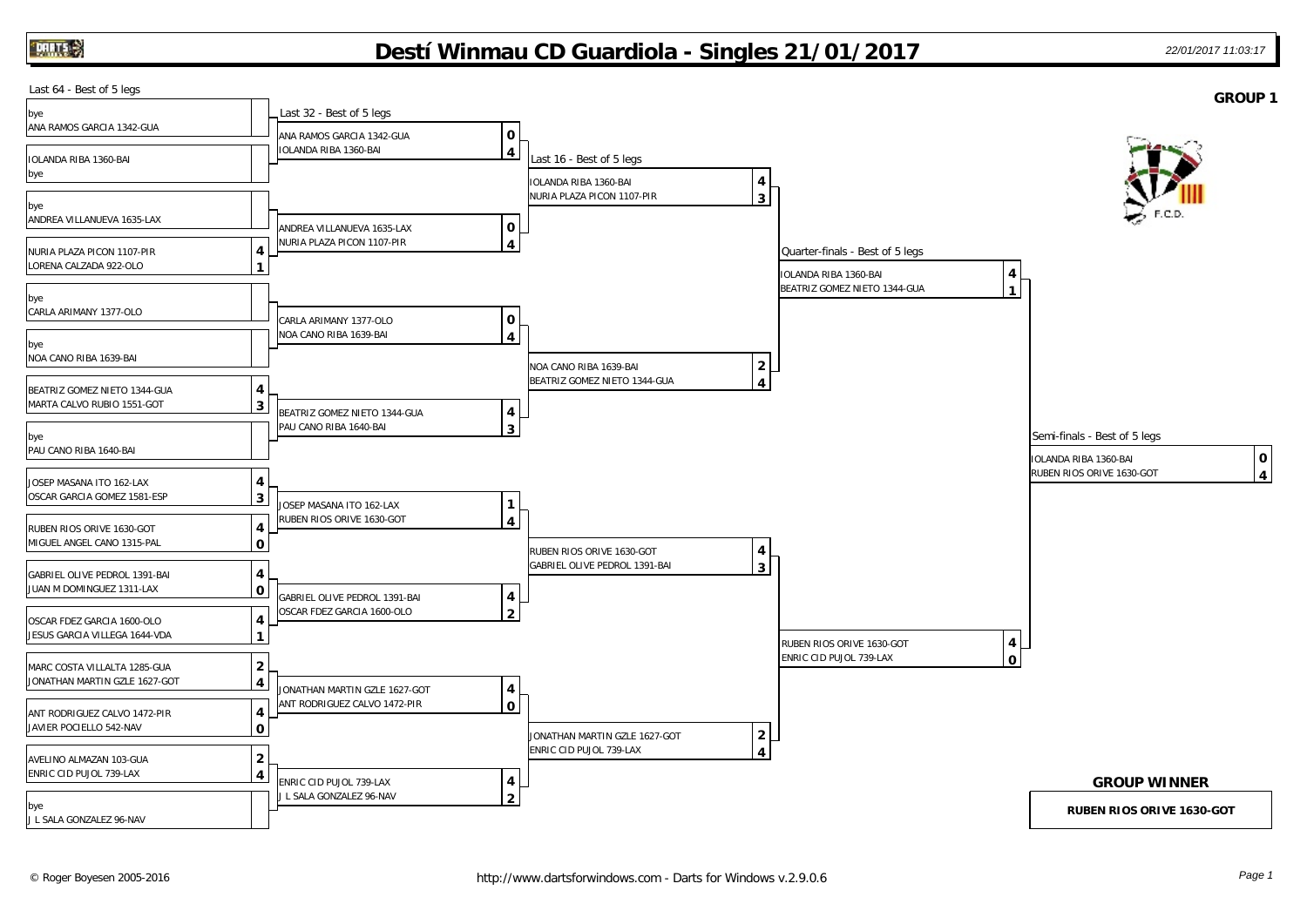## **Destí Winmau CD Guardiola - Singles 21/01/2017** *22/01/2017 11:03:17*

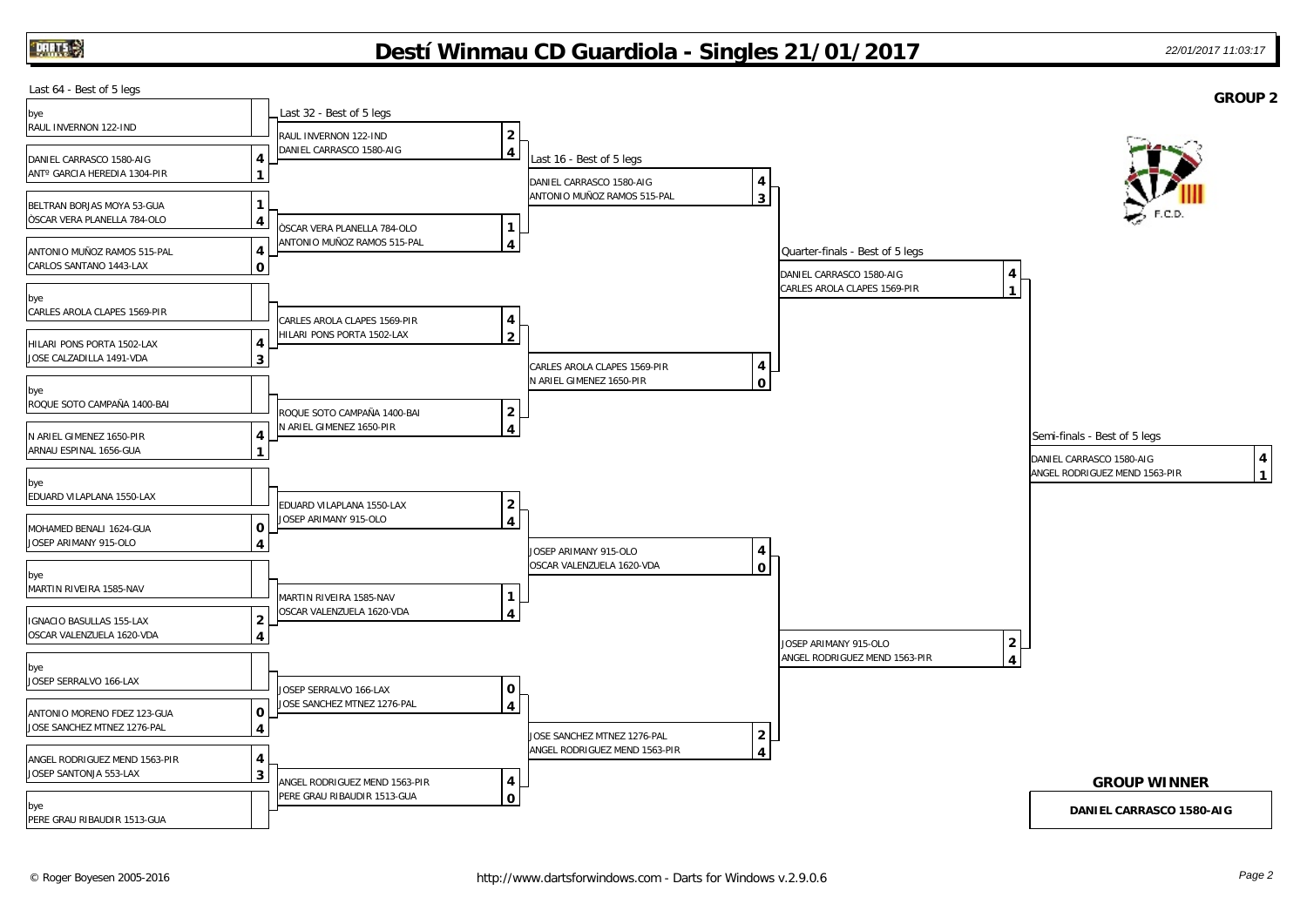## **Destí Winmau CD Guardiola - Singles 21/01/2017** *22/01/2017 11:03:17*